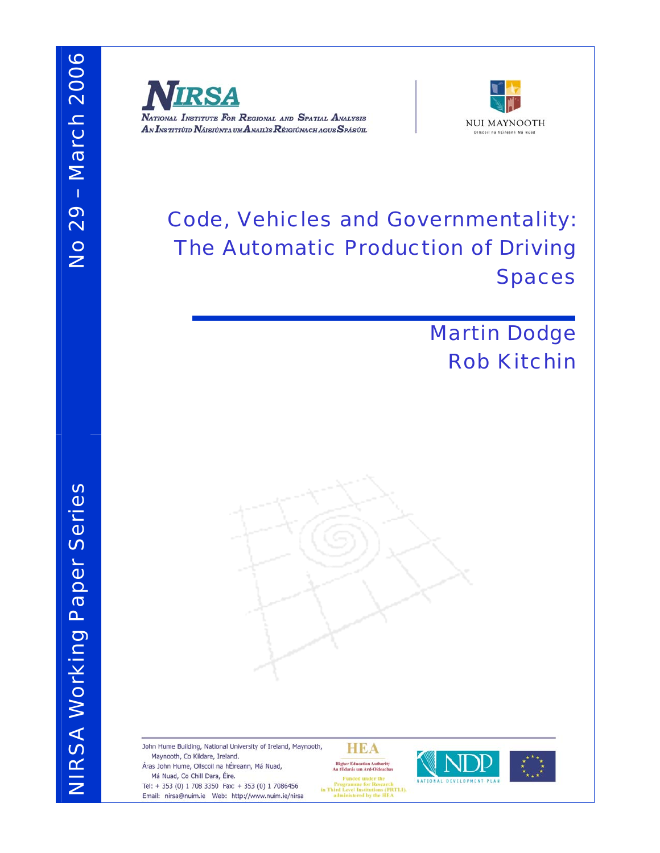



# Code, Vehicles and Governmentality: The Automatic Production of Driving Spaces

# Martin Dodge Rob Kitchin

John Hume Building, National University of Ireland, Maynooth, **HEA** Maynooth, Co Kildare, Ireland. Áras John Hume, Ollscoil na hÉireann, Má Nuad, **Higher Education Authority<br>An tÚdarás um Ard-Oideachas** Má Nuad, Co Chill Dara, Éire. Programme for Research<br>in Third Level Institutions (PRTLI),<br>administered by the HEA Tel: + 353 (0) 1 708 3350 Fax: + 353 (0) 1 7086456 Email: nirsa@nuim.ie Web: http://www.nuim.ie/nirsa

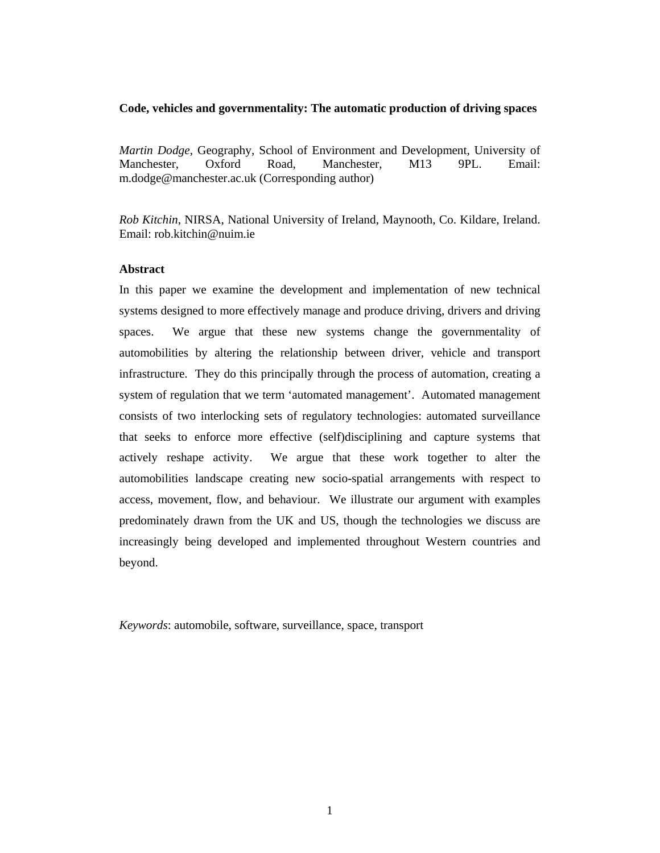## **Code, vehicles and governmentality: The automatic production of driving spaces**

*Martin Dodge*, Geography, School of Environment and Development, University of Manchester, Oxford Road, Manchester, M13 9PL. Email: m.dodge@manchester.ac.uk (Corresponding author)

*Rob Kitchin*, NIRSA, National University of Ireland, Maynooth, Co. Kildare, Ireland. Email: rob.kitchin@nuim.ie

## **Abstract**

In this paper we examine the development and implementation of new technical systems designed to more effectively manage and produce driving, drivers and driving spaces. We argue that these new systems change the governmentality of automobilities by altering the relationship between driver, vehicle and transport infrastructure. They do this principally through the process of automation, creating a system of regulation that we term 'automated management'. Automated management consists of two interlocking sets of regulatory technologies: automated surveillance that seeks to enforce more effective (self)disciplining and capture systems that actively reshape activity. We argue that these work together to alter the automobilities landscape creating new socio-spatial arrangements with respect to access, movement, flow, and behaviour. We illustrate our argument with examples predominately drawn from the UK and US, though the technologies we discuss are increasingly being developed and implemented throughout Western countries and beyond.

*Keywords*: automobile, software, surveillance, space, transport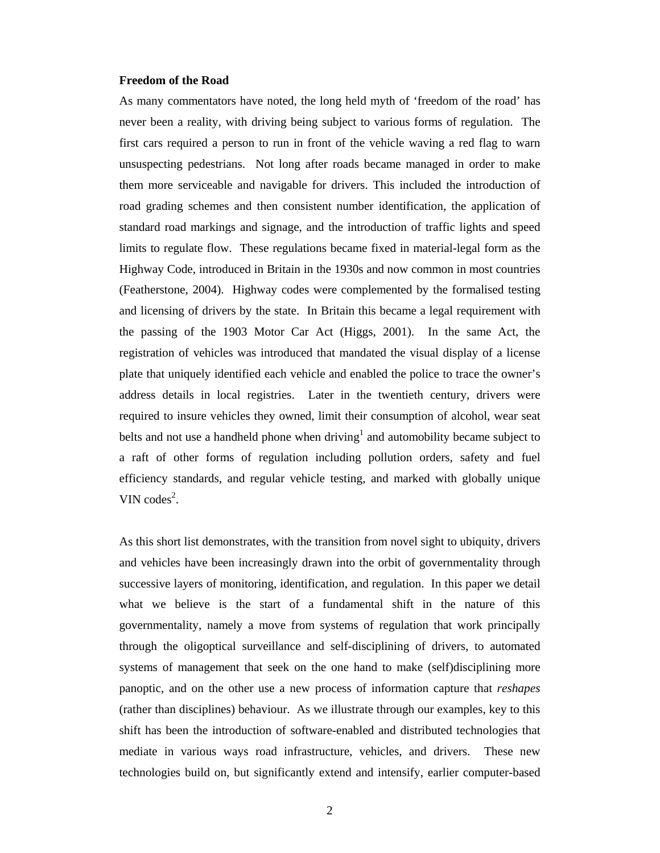#### **Freedom of the Road**

As many commentators have noted, the long held myth of 'freedom of the road' has never been a reality, with driving being subject to various forms of regulation. The first cars required a person to run in front of the vehicle waving a red flag to warn unsuspecting pedestrians. Not long after roads became managed in order to make them more serviceable and navigable for drivers. This included the introduction of road grading schemes and then consistent number identification, the application of standard road markings and signage, and the introduction of traffic lights and speed limits to regulate flow. These regulations became fixed in material-legal form as the Highway Code, introduced in Britain in the 1930s and now common in most countries (Featherstone, 2004). Highway codes were complemented by the formalised testing and licensing of drivers by the state. In Britain this became a legal requirement with the passing of the 1903 Motor Car Act (Higgs, 2001). In the same Act, the registration of vehicles was introduced that mandated the visual display of a license plate that uniquely identified each vehicle and enabled the police to trace the owner's address details in local registries. Later in the twentieth century, drivers were required to insure vehicles they owned, limit their consumption of alcohol, wear seat belts and not use a handheld phone when driving<sup>1</sup> and automobility became subject to a raft of other forms of regulation including pollution orders, safety and fuel efficiency standards, and regular vehicle testing, and marked with globally unique VIN  $\text{codes}^2$ .

As this short list demonstrates, with the transition from novel sight to ubiquity, drivers and vehicles have been increasingly drawn into the orbit of governmentality through successive layers of monitoring, identification, and regulation. In this paper we detail what we believe is the start of a fundamental shift in the nature of this governmentality, namely a move from systems of regulation that work principally through the oligoptical surveillance and self-disciplining of drivers, to automated systems of management that seek on the one hand to make (self)disciplining more panoptic, and on the other use a new process of information capture that *reshapes* (rather than disciplines) behaviour. As we illustrate through our examples, key to this shift has been the introduction of software-enabled and distributed technologies that mediate in various ways road infrastructure, vehicles, and drivers. These new technologies build on, but significantly extend and intensify, earlier computer-based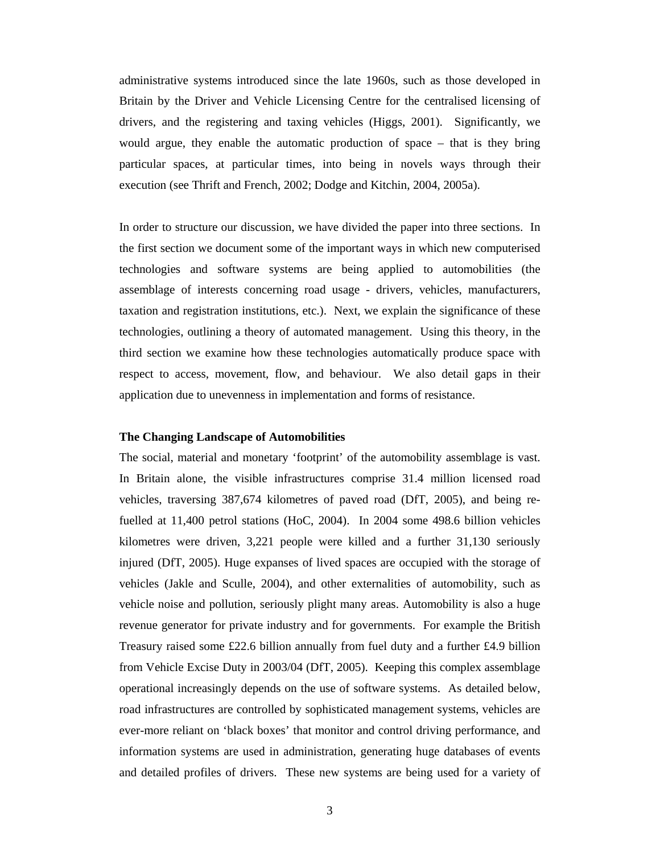administrative systems introduced since the late 1960s, such as those developed in Britain by the Driver and Vehicle Licensing Centre for the centralised licensing of drivers, and the registering and taxing vehicles (Higgs, 2001). Significantly, we would argue, they enable the automatic production of space – that is they bring particular spaces, at particular times, into being in novels ways through their execution (see Thrift and French, 2002; Dodge and Kitchin, 2004, 2005a).

In order to structure our discussion, we have divided the paper into three sections. In the first section we document some of the important ways in which new computerised technologies and software systems are being applied to automobilities (the assemblage of interests concerning road usage - drivers, vehicles, manufacturers, taxation and registration institutions, etc.). Next, we explain the significance of these technologies, outlining a theory of automated management. Using this theory, in the third section we examine how these technologies automatically produce space with respect to access, movement, flow, and behaviour. We also detail gaps in their application due to unevenness in implementation and forms of resistance.

#### **The Changing Landscape of Automobilities**

The social, material and monetary 'footprint' of the automobility assemblage is vast. In Britain alone, the visible infrastructures comprise 31.4 million licensed road vehicles, traversing 387,674 kilometres of paved road (DfT, 2005), and being refuelled at 11,400 petrol stations (HoC, 2004). In 2004 some 498.6 billion vehicles kilometres were driven, 3,221 people were killed and a further 31,130 seriously injured (DfT, 2005). Huge expanses of lived spaces are occupied with the storage of vehicles (Jakle and Sculle, 2004), and other externalities of automobility, such as vehicle noise and pollution, seriously plight many areas. Automobility is also a huge revenue generator for private industry and for governments. For example the British Treasury raised some £22.6 billion annually from fuel duty and a further £4.9 billion from Vehicle Excise Duty in 2003/04 (DfT, 2005). Keeping this complex assemblage operational increasingly depends on the use of software systems. As detailed below, road infrastructures are controlled by sophisticated management systems, vehicles are ever-more reliant on 'black boxes' that monitor and control driving performance, and information systems are used in administration, generating huge databases of events and detailed profiles of drivers. These new systems are being used for a variety of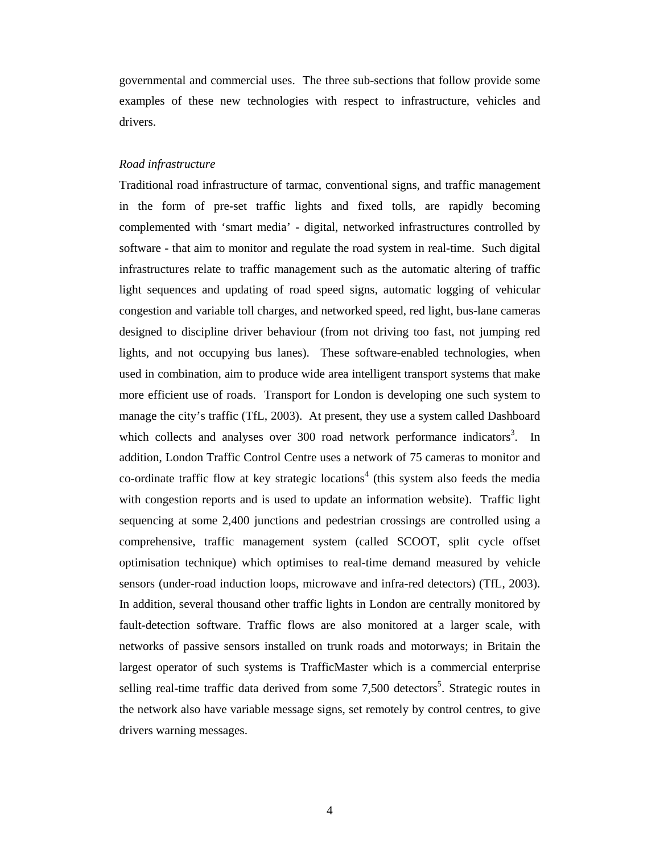governmental and commercial uses. The three sub-sections that follow provide some examples of these new technologies with respect to infrastructure, vehicles and drivers.

#### *Road infrastructure*

Traditional road infrastructure of tarmac, conventional signs, and traffic management in the form of pre-set traffic lights and fixed tolls, are rapidly becoming complemented with 'smart media' - digital, networked infrastructures controlled by software - that aim to monitor and regulate the road system in real-time. Such digital infrastructures relate to traffic management such as the automatic altering of traffic light sequences and updating of road speed signs, automatic logging of vehicular congestion and variable toll charges, and networked speed, red light, bus-lane cameras designed to discipline driver behaviour (from not driving too fast, not jumping red lights, and not occupying bus lanes). These software-enabled technologies, when used in combination, aim to produce wide area intelligent transport systems that make more efficient use of roads. Transport for London is developing one such system to manage the city's traffic (TfL, 2003). At present, they use a system called Dashboard which collects and analyses over  $300$  road network performance indicators<sup>3</sup>. In addition, London Traffic Control Centre uses a network of 75 cameras to monitor and co-ordinate traffic flow at key strategic locations<sup>4</sup> (this system also feeds the media with congestion reports and is used to update an information website). Traffic light sequencing at some 2,400 junctions and pedestrian crossings are controlled using a comprehensive, traffic management system (called SCOOT, split cycle offset optimisation technique) which optimises to real-time demand measured by vehicle sensors (under-road induction loops, microwave and infra-red detectors) (TfL, 2003). In addition, several thousand other traffic lights in London are centrally monitored by fault-detection software. Traffic flows are also monitored at a larger scale, with networks of passive sensors installed on trunk roads and motorways; in Britain the largest operator of such systems is TrafficMaster which is a commercial enterprise selling real-time traffic data derived from some 7,500 detectors<sup>5</sup>. Strategic routes in the network also have variable message signs, set remotely by control centres, to give drivers warning messages.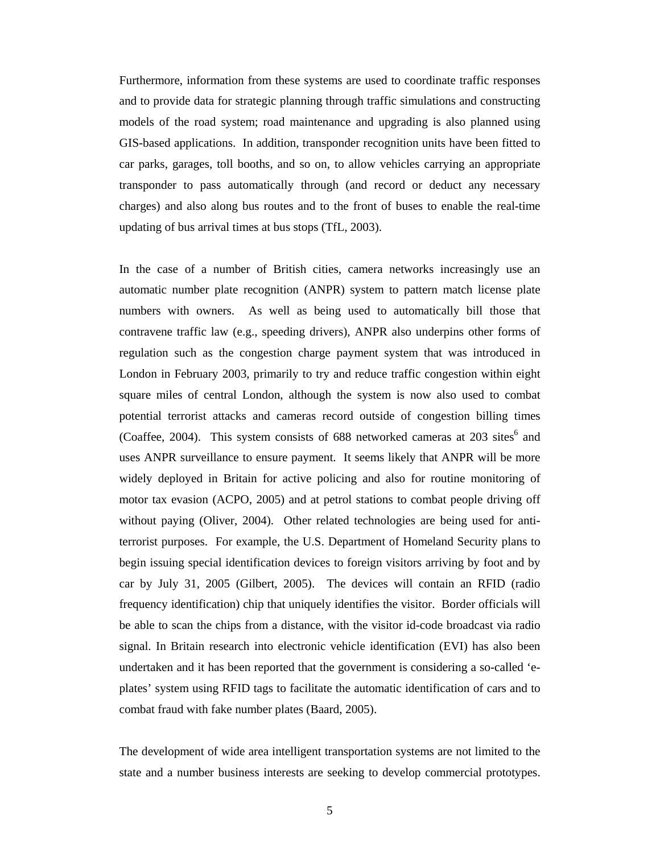Furthermore, information from these systems are used to coordinate traffic responses and to provide data for strategic planning through traffic simulations and constructing models of the road system; road maintenance and upgrading is also planned using GIS-based applications. In addition, transponder recognition units have been fitted to car parks, garages, toll booths, and so on, to allow vehicles carrying an appropriate transponder to pass automatically through (and record or deduct any necessary charges) and also along bus routes and to the front of buses to enable the real-time updating of bus arrival times at bus stops (TfL, 2003).

In the case of a number of British cities, camera networks increasingly use an automatic number plate recognition (ANPR) system to pattern match license plate numbers with owners. As well as being used to automatically bill those that contravene traffic law (e.g., speeding drivers), ANPR also underpins other forms of regulation such as the congestion charge payment system that was introduced in London in February 2003, primarily to try and reduce traffic congestion within eight square miles of central London, although the system is now also used to combat potential terrorist attacks and cameras record outside of congestion billing times (Coaffee, 2004). This system consists of  $688$  networked cameras at  $203$  sites<sup>6</sup> and uses ANPR surveillance to ensure payment. It seems likely that ANPR will be more widely deployed in Britain for active policing and also for routine monitoring of motor tax evasion (ACPO, 2005) and at petrol stations to combat people driving off without paying (Oliver, 2004). Other related technologies are being used for antiterrorist purposes. For example, the U.S. Department of Homeland Security plans to begin issuing special identification devices to foreign visitors arriving by foot and by car by July 31, 2005 (Gilbert, 2005). The devices will contain an RFID (radio frequency identification) chip that uniquely identifies the visitor. Border officials will be able to scan the chips from a distance, with the visitor id-code broadcast via radio signal. In Britain research into electronic vehicle identification (EVI) has also been undertaken and it has been reported that the government is considering a so-called 'eplates' system using RFID tags to facilitate the automatic identification of cars and to combat fraud with fake number plates (Baard, 2005).

The development of wide area intelligent transportation systems are not limited to the state and a number business interests are seeking to develop commercial prototypes.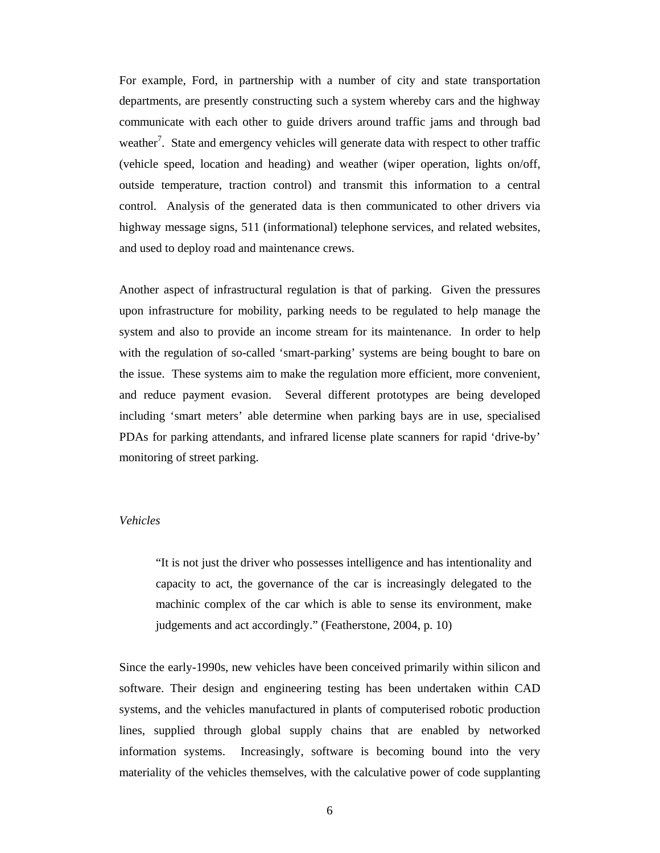For example, Ford, in partnership with a number of city and state transportation departments, are presently constructing such a system whereby cars and the highway communicate with each other to guide drivers around traffic jams and through bad weather<sup>7</sup>. State and emergency vehicles will generate data with respect to other traffic (vehicle speed, location and heading) and weather (wiper operation, lights on/off, outside temperature, traction control) and transmit this information to a central control. Analysis of the generated data is then communicated to other drivers via highway message signs, 511 (informational) telephone services, and related websites, and used to deploy road and maintenance crews.

Another aspect of infrastructural regulation is that of parking. Given the pressures upon infrastructure for mobility, parking needs to be regulated to help manage the system and also to provide an income stream for its maintenance. In order to help with the regulation of so-called 'smart-parking' systems are being bought to bare on the issue. These systems aim to make the regulation more efficient, more convenient, and reduce payment evasion. Several different prototypes are being developed including 'smart meters' able determine when parking bays are in use, specialised PDAs for parking attendants, and infrared license plate scanners for rapid 'drive-by' monitoring of street parking.

## *Vehicles*

"It is not just the driver who possesses intelligence and has intentionality and capacity to act, the governance of the car is increasingly delegated to the machinic complex of the car which is able to sense its environment, make judgements and act accordingly." (Featherstone, 2004, p. 10)

Since the early-1990s, new vehicles have been conceived primarily within silicon and software. Their design and engineering testing has been undertaken within CAD systems, and the vehicles manufactured in plants of computerised robotic production lines, supplied through global supply chains that are enabled by networked information systems. Increasingly, software is becoming bound into the very materiality of the vehicles themselves, with the calculative power of code supplanting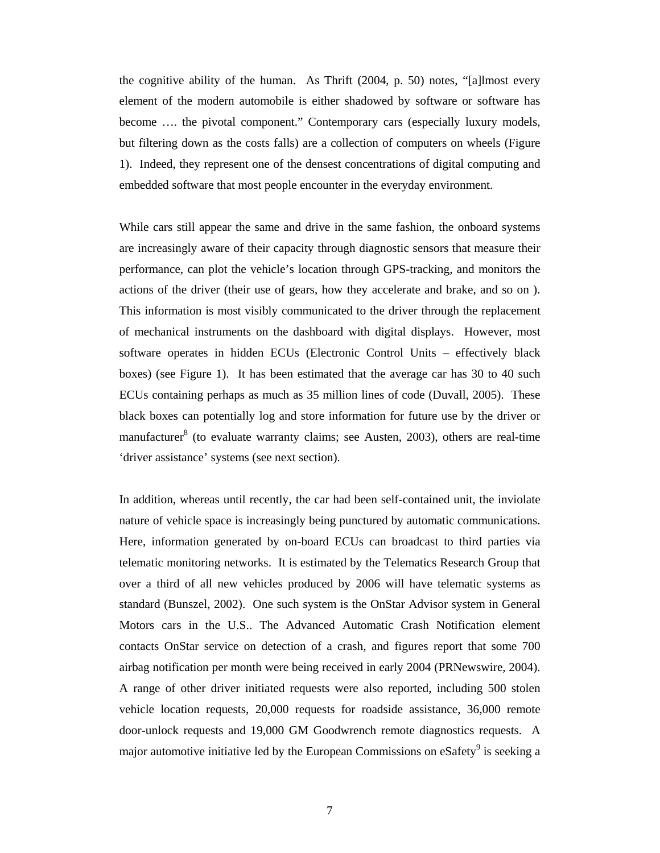the cognitive ability of the human. As Thrift (2004, p. 50) notes, "[a]lmost every element of the modern automobile is either shadowed by software or software has become …. the pivotal component." Contemporary cars (especially luxury models, but filtering down as the costs falls) are a collection of computers on wheels (Figure 1). Indeed, they represent one of the densest concentrations of digital computing and embedded software that most people encounter in the everyday environment.

While cars still appear the same and drive in the same fashion, the onboard systems are increasingly aware of their capacity through diagnostic sensors that measure their performance, can plot the vehicle's location through GPS-tracking, and monitors the actions of the driver (their use of gears, how they accelerate and brake, and so on ). This information is most visibly communicated to the driver through the replacement of mechanical instruments on the dashboard with digital displays. However, most software operates in hidden ECUs (Electronic Control Units – effectively black boxes) (see Figure 1). It has been estimated that the average car has 30 to 40 such ECUs containing perhaps as much as 35 million lines of code (Duvall, 2005). These black boxes can potentially log and store information for future use by the driver or manufacturer<sup>8</sup> (to evaluate warranty claims; see Austen, 2003), others are real-time 'driver assistance' systems (see next section).

In addition, whereas until recently, the car had been self-contained unit, the inviolate nature of vehicle space is increasingly being punctured by automatic communications. Here, information generated by on-board ECUs can broadcast to third parties via telematic monitoring networks. It is estimated by the Telematics Research Group that over a third of all new vehicles produced by 2006 will have telematic systems as standard (Bunszel, 2002). One such system is the OnStar Advisor system in General Motors cars in the U.S.. The Advanced Automatic Crash Notification element contacts OnStar service on detection of a crash, and figures report that some 700 airbag notification per month were being received in early 2004 (PRNewswire, 2004). A range of other driver initiated requests were also reported, including 500 stolen vehicle location requests, 20,000 requests for roadside assistance, 36,000 remote door-unlock requests and 19,000 GM Goodwrench remote diagnostics requests. A major automotive initiative led by the European Commissions on eSafety<sup>9</sup> is seeking a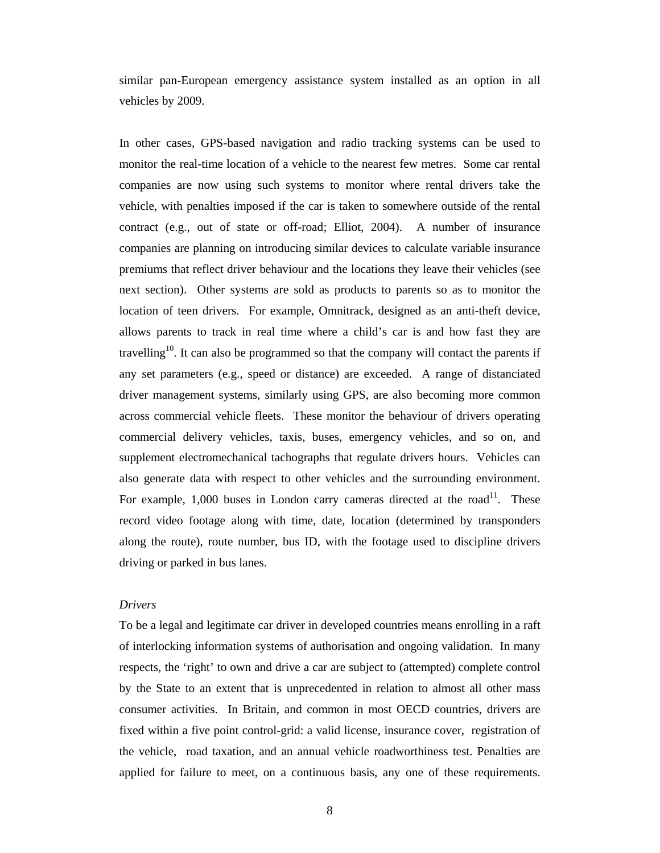similar pan-European emergency assistance system installed as an option in all vehicles by 2009.

In other cases, GPS-based navigation and radio tracking systems can be used to monitor the real-time location of a vehicle to the nearest few metres. Some car rental companies are now using such systems to monitor where rental drivers take the vehicle, with penalties imposed if the car is taken to somewhere outside of the rental contract (e.g., out of state or off-road; Elliot, 2004). A number of insurance companies are planning on introducing similar devices to calculate variable insurance premiums that reflect driver behaviour and the locations they leave their vehicles (see next section). Other systems are sold as products to parents so as to monitor the location of teen drivers. For example, Omnitrack, designed as an anti-theft device, allows parents to track in real time where a child's car is and how fast they are travelling<sup>10</sup>. It can also be programmed so that the company will contact the parents if any set parameters (e.g., speed or distance) are exceeded. A range of distanciated driver management systems, similarly using GPS, are also becoming more common across commercial vehicle fleets. These monitor the behaviour of drivers operating commercial delivery vehicles, taxis, buses, emergency vehicles, and so on, and supplement electromechanical tachographs that regulate drivers hours. Vehicles can also generate data with respect to other vehicles and the surrounding environment. For example,  $1,000$  buses in London carry cameras directed at the road<sup>11</sup>. These record video footage along with time, date, location (determined by transponders along the route), route number, bus ID, with the footage used to discipline drivers driving or parked in bus lanes.

## *Drivers*

To be a legal and legitimate car driver in developed countries means enrolling in a raft of interlocking information systems of authorisation and ongoing validation. In many respects, the 'right' to own and drive a car are subject to (attempted) complete control by the State to an extent that is unprecedented in relation to almost all other mass consumer activities. In Britain, and common in most OECD countries, drivers are fixed within a five point control-grid: a valid license, insurance cover, registration of the vehicle, road taxation, and an annual vehicle roadworthiness test. Penalties are applied for failure to meet, on a continuous basis, any one of these requirements.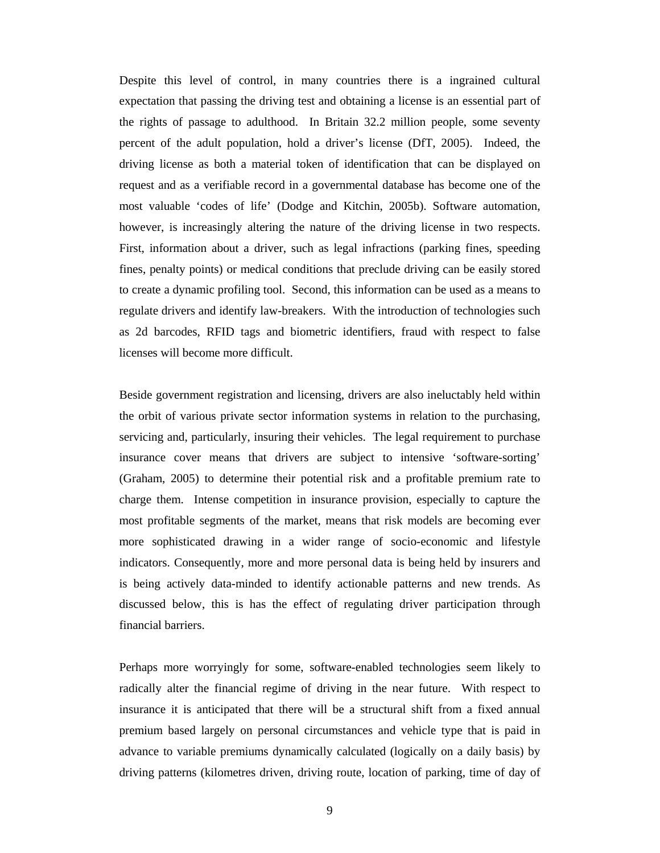Despite this level of control, in many countries there is a ingrained cultural expectation that passing the driving test and obtaining a license is an essential part of the rights of passage to adulthood. In Britain 32.2 million people, some seventy percent of the adult population, hold a driver's license (DfT, 2005). Indeed, the driving license as both a material token of identification that can be displayed on request and as a verifiable record in a governmental database has become one of the most valuable 'codes of life' (Dodge and Kitchin, 2005b). Software automation, however, is increasingly altering the nature of the driving license in two respects. First, information about a driver, such as legal infractions (parking fines, speeding fines, penalty points) or medical conditions that preclude driving can be easily stored to create a dynamic profiling tool. Second, this information can be used as a means to regulate drivers and identify law-breakers. With the introduction of technologies such as 2d barcodes, RFID tags and biometric identifiers, fraud with respect to false licenses will become more difficult.

Beside government registration and licensing, drivers are also ineluctably held within the orbit of various private sector information systems in relation to the purchasing, servicing and, particularly, insuring their vehicles. The legal requirement to purchase insurance cover means that drivers are subject to intensive 'software-sorting' (Graham, 2005) to determine their potential risk and a profitable premium rate to charge them. Intense competition in insurance provision, especially to capture the most profitable segments of the market, means that risk models are becoming ever more sophisticated drawing in a wider range of socio-economic and lifestyle indicators. Consequently, more and more personal data is being held by insurers and is being actively data-minded to identify actionable patterns and new trends. As discussed below, this is has the effect of regulating driver participation through financial barriers.

Perhaps more worryingly for some, software-enabled technologies seem likely to radically alter the financial regime of driving in the near future. With respect to insurance it is anticipated that there will be a structural shift from a fixed annual premium based largely on personal circumstances and vehicle type that is paid in advance to variable premiums dynamically calculated (logically on a daily basis) by driving patterns (kilometres driven, driving route, location of parking, time of day of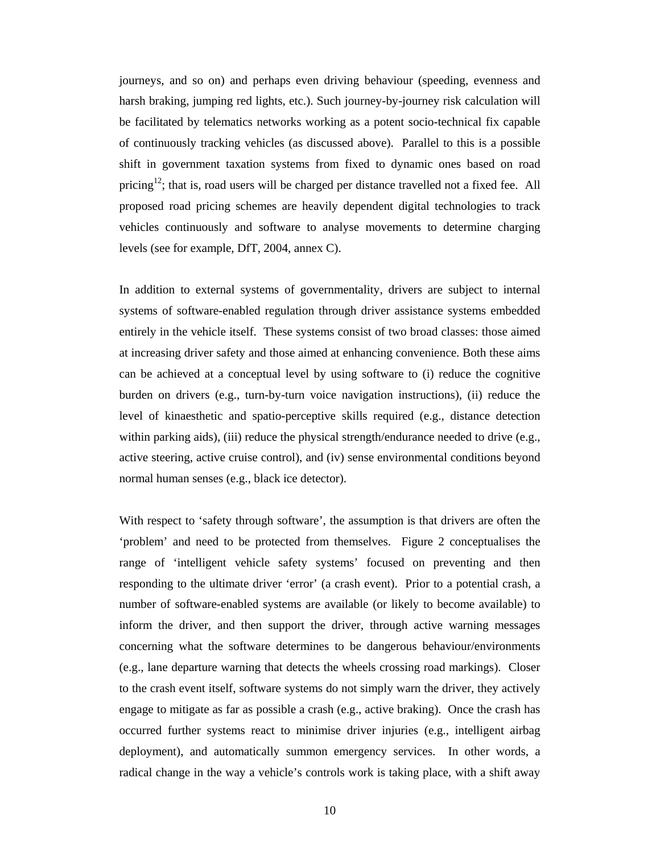journeys, and so on) and perhaps even driving behaviour (speeding, evenness and harsh braking, jumping red lights, etc.). Such journey-by-journey risk calculation will be facilitated by telematics networks working as a potent socio-technical fix capable of continuously tracking vehicles (as discussed above). Parallel to this is a possible shift in government taxation systems from fixed to dynamic ones based on road pricing<sup>12</sup>; that is, road users will be charged per distance travelled not a fixed fee. All proposed road pricing schemes are heavily dependent digital technologies to track vehicles continuously and software to analyse movements to determine charging levels (see for example, DfT, 2004, annex C).

In addition to external systems of governmentality, drivers are subject to internal systems of software-enabled regulation through driver assistance systems embedded entirely in the vehicle itself. These systems consist of two broad classes: those aimed at increasing driver safety and those aimed at enhancing convenience. Both these aims can be achieved at a conceptual level by using software to (i) reduce the cognitive burden on drivers (e.g., turn-by-turn voice navigation instructions), (ii) reduce the level of kinaesthetic and spatio-perceptive skills required (e.g., distance detection within parking aids), (iii) reduce the physical strength/endurance needed to drive (e.g., active steering, active cruise control), and (iv) sense environmental conditions beyond normal human senses (e.g., black ice detector).

With respect to 'safety through software', the assumption is that drivers are often the 'problem' and need to be protected from themselves. Figure 2 conceptualises the range of 'intelligent vehicle safety systems' focused on preventing and then responding to the ultimate driver 'error' (a crash event). Prior to a potential crash, a number of software-enabled systems are available (or likely to become available) to inform the driver, and then support the driver, through active warning messages concerning what the software determines to be dangerous behaviour/environments (e.g., lane departure warning that detects the wheels crossing road markings). Closer to the crash event itself, software systems do not simply warn the driver, they actively engage to mitigate as far as possible a crash (e.g., active braking). Once the crash has occurred further systems react to minimise driver injuries (e.g., intelligent airbag deployment), and automatically summon emergency services. In other words, a radical change in the way a vehicle's controls work is taking place, with a shift away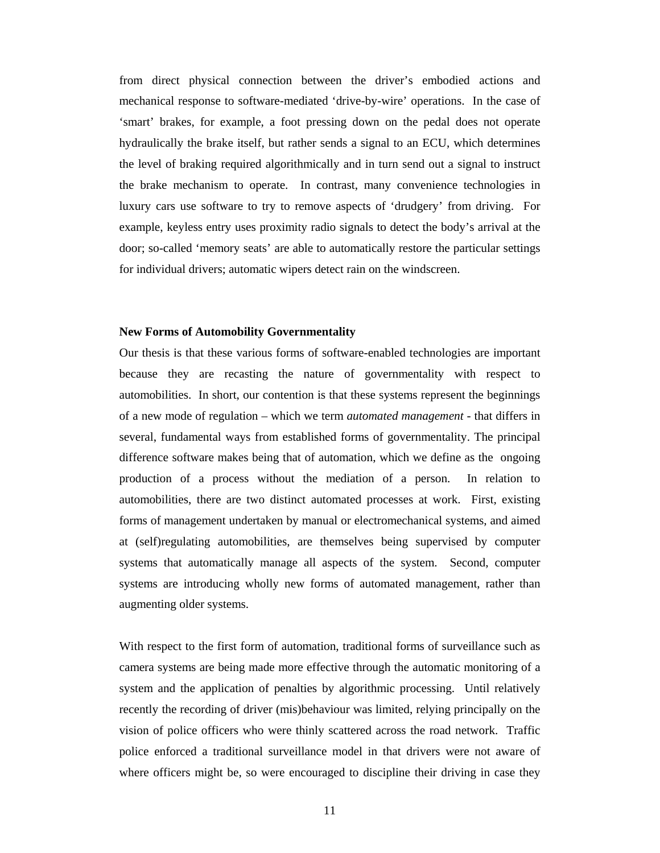from direct physical connection between the driver's embodied actions and mechanical response to software-mediated 'drive-by-wire' operations. In the case of 'smart' brakes, for example, a foot pressing down on the pedal does not operate hydraulically the brake itself, but rather sends a signal to an ECU, which determines the level of braking required algorithmically and in turn send out a signal to instruct the brake mechanism to operate. In contrast, many convenience technologies in luxury cars use software to try to remove aspects of 'drudgery' from driving. For example, keyless entry uses proximity radio signals to detect the body's arrival at the door; so-called 'memory seats' are able to automatically restore the particular settings for individual drivers; automatic wipers detect rain on the windscreen.

#### **New Forms of Automobility Governmentality**

Our thesis is that these various forms of software-enabled technologies are important because they are recasting the nature of governmentality with respect to automobilities. In short, our contention is that these systems represent the beginnings of a new mode of regulation – which we term *automated management* - that differs in several, fundamental ways from established forms of governmentality. The principal difference software makes being that of automation, which we define as the ongoing production of a process without the mediation of a person. In relation to automobilities, there are two distinct automated processes at work. First, existing forms of management undertaken by manual or electromechanical systems, and aimed at (self)regulating automobilities, are themselves being supervised by computer systems that automatically manage all aspects of the system. Second, computer systems are introducing wholly new forms of automated management, rather than augmenting older systems.

With respect to the first form of automation, traditional forms of surveillance such as camera systems are being made more effective through the automatic monitoring of a system and the application of penalties by algorithmic processing. Until relatively recently the recording of driver (mis)behaviour was limited, relying principally on the vision of police officers who were thinly scattered across the road network. Traffic police enforced a traditional surveillance model in that drivers were not aware of where officers might be, so were encouraged to discipline their driving in case they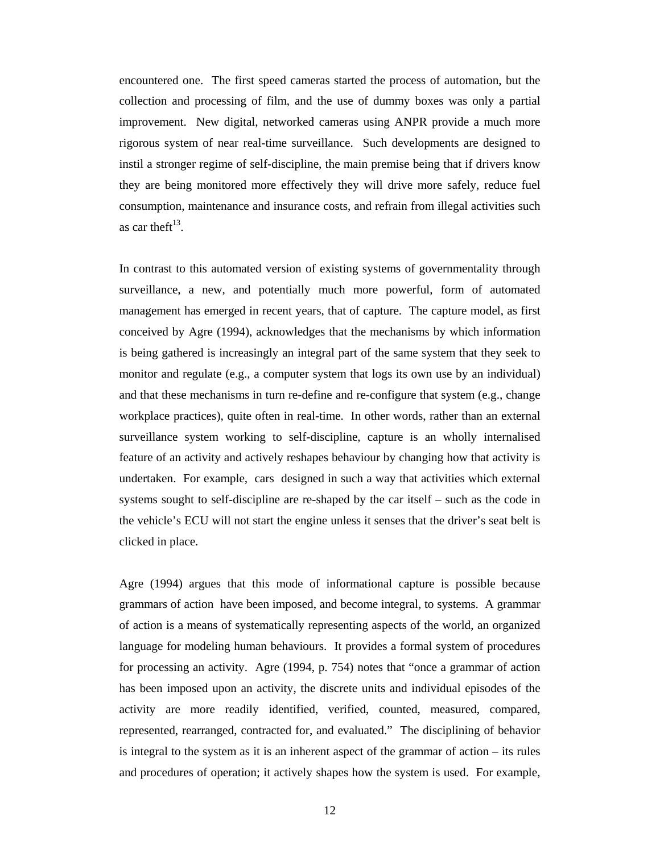encountered one. The first speed cameras started the process of automation, but the collection and processing of film, and the use of dummy boxes was only a partial improvement. New digital, networked cameras using ANPR provide a much more rigorous system of near real-time surveillance. Such developments are designed to instil a stronger regime of self-discipline, the main premise being that if drivers know they are being monitored more effectively they will drive more safely, reduce fuel consumption, maintenance and insurance costs, and refrain from illegal activities such as car the ft $^{13}$ .

In contrast to this automated version of existing systems of governmentality through surveillance, a new, and potentially much more powerful, form of automated management has emerged in recent years, that of capture. The capture model, as first conceived by Agre (1994), acknowledges that the mechanisms by which information is being gathered is increasingly an integral part of the same system that they seek to monitor and regulate (e.g., a computer system that logs its own use by an individual) and that these mechanisms in turn re-define and re-configure that system (e.g., change workplace practices), quite often in real-time. In other words, rather than an external surveillance system working to self-discipline, capture is an wholly internalised feature of an activity and actively reshapes behaviour by changing how that activity is undertaken. For example, cars designed in such a way that activities which external systems sought to self-discipline are re-shaped by the car itself – such as the code in the vehicle's ECU will not start the engine unless it senses that the driver's seat belt is clicked in place.

Agre (1994) argues that this mode of informational capture is possible because grammars of action have been imposed, and become integral, to systems. A grammar of action is a means of systematically representing aspects of the world, an organized language for modeling human behaviours. It provides a formal system of procedures for processing an activity. Agre (1994, p. 754) notes that "once a grammar of action has been imposed upon an activity, the discrete units and individual episodes of the activity are more readily identified, verified, counted, measured, compared, represented, rearranged, contracted for, and evaluated." The disciplining of behavior is integral to the system as it is an inherent aspect of the grammar of action – its rules and procedures of operation; it actively shapes how the system is used. For example,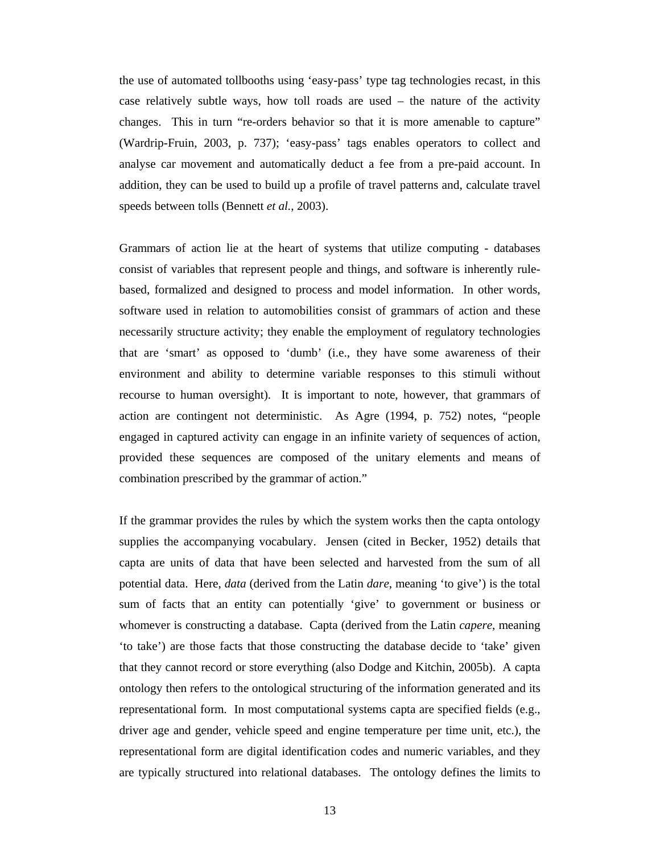the use of automated tollbooths using 'easy-pass' type tag technologies recast, in this case relatively subtle ways, how toll roads are used – the nature of the activity changes. This in turn "re-orders behavior so that it is more amenable to capture" (Wardrip-Fruin, 2003, p. 737); 'easy-pass' tags enables operators to collect and analyse car movement and automatically deduct a fee from a pre-paid account. In addition, they can be used to build up a profile of travel patterns and, calculate travel speeds between tolls (Bennett *et al.*, 2003).

Grammars of action lie at the heart of systems that utilize computing - databases consist of variables that represent people and things, and software is inherently rulebased, formalized and designed to process and model information. In other words, software used in relation to automobilities consist of grammars of action and these necessarily structure activity; they enable the employment of regulatory technologies that are 'smart' as opposed to 'dumb' (i.e., they have some awareness of their environment and ability to determine variable responses to this stimuli without recourse to human oversight). It is important to note, however, that grammars of action are contingent not deterministic. As Agre (1994, p. 752) notes, "people engaged in captured activity can engage in an infinite variety of sequences of action, provided these sequences are composed of the unitary elements and means of combination prescribed by the grammar of action."

If the grammar provides the rules by which the system works then the capta ontology supplies the accompanying vocabulary. Jensen (cited in Becker, 1952) details that capta are units of data that have been selected and harvested from the sum of all potential data. Here, *data* (derived from the Latin *dare*, meaning 'to give') is the total sum of facts that an entity can potentially 'give' to government or business or whomever is constructing a database. Capta (derived from the Latin *capere*, meaning 'to take') are those facts that those constructing the database decide to 'take' given that they cannot record or store everything (also Dodge and Kitchin, 2005b). A capta ontology then refers to the ontological structuring of the information generated and its representational form. In most computational systems capta are specified fields (e.g., driver age and gender, vehicle speed and engine temperature per time unit, etc.), the representational form are digital identification codes and numeric variables, and they are typically structured into relational databases. The ontology defines the limits to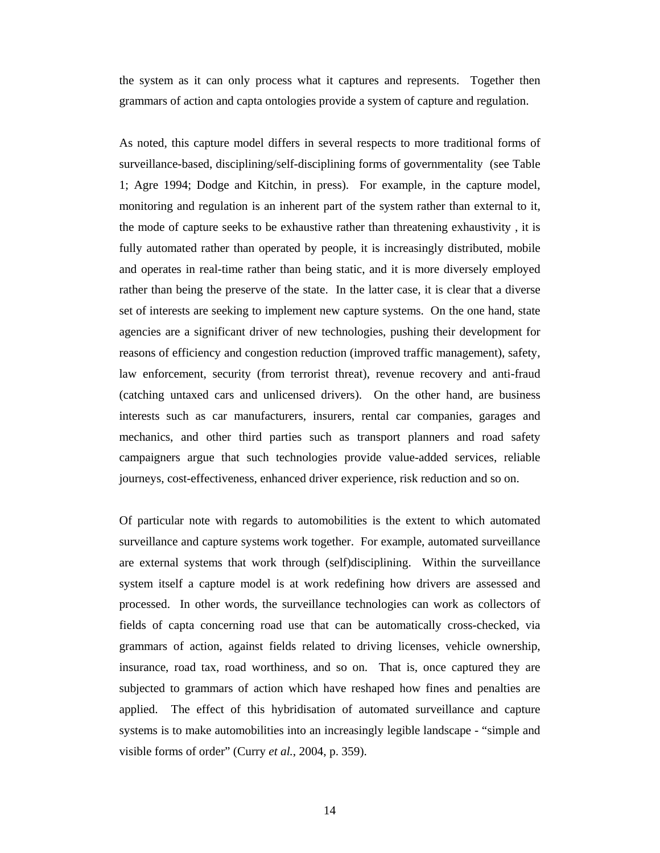the system as it can only process what it captures and represents. Together then grammars of action and capta ontologies provide a system of capture and regulation.

As noted, this capture model differs in several respects to more traditional forms of surveillance-based, disciplining/self-disciplining forms of governmentality (see Table 1; Agre 1994; Dodge and Kitchin, in press). For example, in the capture model, monitoring and regulation is an inherent part of the system rather than external to it, the mode of capture seeks to be exhaustive rather than threatening exhaustivity , it is fully automated rather than operated by people, it is increasingly distributed, mobile and operates in real-time rather than being static, and it is more diversely employed rather than being the preserve of the state. In the latter case, it is clear that a diverse set of interests are seeking to implement new capture systems. On the one hand, state agencies are a significant driver of new technologies, pushing their development for reasons of efficiency and congestion reduction (improved traffic management), safety, law enforcement, security (from terrorist threat), revenue recovery and anti-fraud (catching untaxed cars and unlicensed drivers). On the other hand, are business interests such as car manufacturers, insurers, rental car companies, garages and mechanics, and other third parties such as transport planners and road safety campaigners argue that such technologies provide value-added services, reliable journeys, cost-effectiveness, enhanced driver experience, risk reduction and so on.

Of particular note with regards to automobilities is the extent to which automated surveillance and capture systems work together. For example, automated surveillance are external systems that work through (self)disciplining. Within the surveillance system itself a capture model is at work redefining how drivers are assessed and processed. In other words, the surveillance technologies can work as collectors of fields of capta concerning road use that can be automatically cross-checked, via grammars of action, against fields related to driving licenses, vehicle ownership, insurance, road tax, road worthiness, and so on. That is, once captured they are subjected to grammars of action which have reshaped how fines and penalties are applied. The effect of this hybridisation of automated surveillance and capture systems is to make automobilities into an increasingly legible landscape - "simple and visible forms of order" (Curry *et al.*, 2004, p. 359).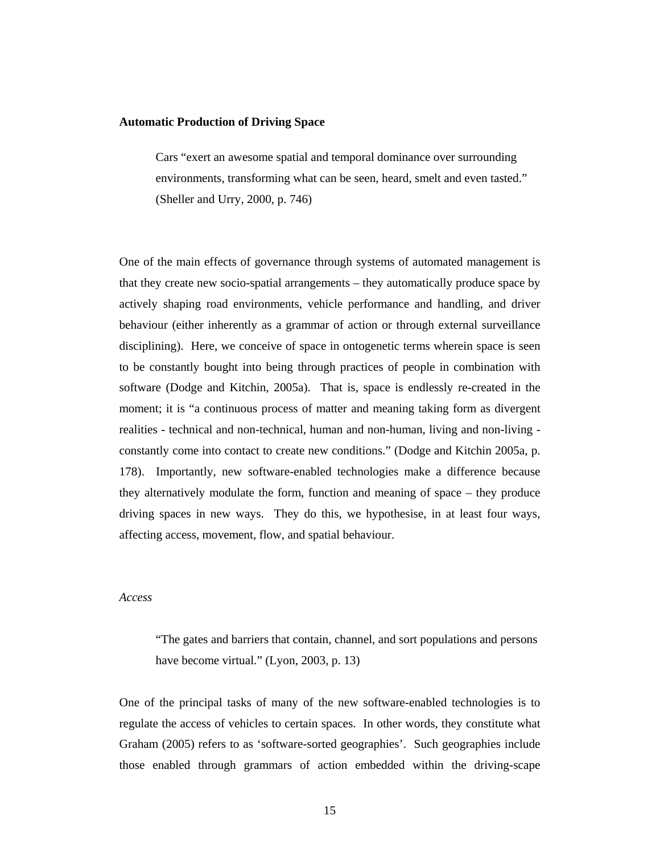#### **Automatic Production of Driving Space**

Cars "exert an awesome spatial and temporal dominance over surrounding environments, transforming what can be seen, heard, smelt and even tasted." (Sheller and Urry, 2000, p. 746)

One of the main effects of governance through systems of automated management is that they create new socio-spatial arrangements – they automatically produce space by actively shaping road environments, vehicle performance and handling, and driver behaviour (either inherently as a grammar of action or through external surveillance disciplining). Here, we conceive of space in ontogenetic terms wherein space is seen to be constantly bought into being through practices of people in combination with software (Dodge and Kitchin, 2005a). That is, space is endlessly re-created in the moment; it is "a continuous process of matter and meaning taking form as divergent realities - technical and non-technical, human and non-human, living and non-living constantly come into contact to create new conditions." (Dodge and Kitchin 2005a, p. 178). Importantly, new software-enabled technologies make a difference because they alternatively modulate the form, function and meaning of space – they produce driving spaces in new ways. They do this, we hypothesise, in at least four ways, affecting access, movement, flow, and spatial behaviour.

## *Access*

"The gates and barriers that contain, channel, and sort populations and persons have become virtual." (Lyon, 2003, p. 13)

One of the principal tasks of many of the new software-enabled technologies is to regulate the access of vehicles to certain spaces. In other words, they constitute what Graham (2005) refers to as 'software-sorted geographies'. Such geographies include those enabled through grammars of action embedded within the driving-scape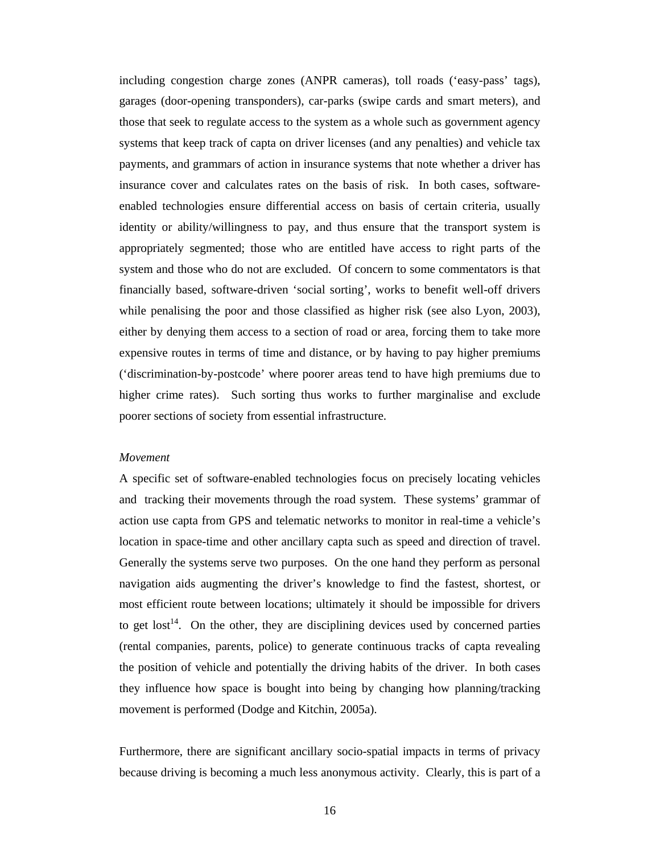including congestion charge zones (ANPR cameras), toll roads ('easy-pass' tags), garages (door-opening transponders), car-parks (swipe cards and smart meters), and those that seek to regulate access to the system as a whole such as government agency systems that keep track of capta on driver licenses (and any penalties) and vehicle tax payments, and grammars of action in insurance systems that note whether a driver has insurance cover and calculates rates on the basis of risk. In both cases, softwareenabled technologies ensure differential access on basis of certain criteria, usually identity or ability/willingness to pay, and thus ensure that the transport system is appropriately segmented; those who are entitled have access to right parts of the system and those who do not are excluded. Of concern to some commentators is that financially based, software-driven 'social sorting', works to benefit well-off drivers while penalising the poor and those classified as higher risk (see also Lyon, 2003), either by denying them access to a section of road or area, forcing them to take more expensive routes in terms of time and distance, or by having to pay higher premiums ('discrimination-by-postcode' where poorer areas tend to have high premiums due to higher crime rates). Such sorting thus works to further marginalise and exclude poorer sections of society from essential infrastructure.

## *Movement*

A specific set of software-enabled technologies focus on precisely locating vehicles and tracking their movements through the road system. These systems' grammar of action use capta from GPS and telematic networks to monitor in real-time a vehicle's location in space-time and other ancillary capta such as speed and direction of travel. Generally the systems serve two purposes. On the one hand they perform as personal navigation aids augmenting the driver's knowledge to find the fastest, shortest, or most efficient route between locations; ultimately it should be impossible for drivers to get  $\mathrm{lost}^{14}$ . On the other, they are disciplining devices used by concerned parties (rental companies, parents, police) to generate continuous tracks of capta revealing the position of vehicle and potentially the driving habits of the driver. In both cases they influence how space is bought into being by changing how planning/tracking movement is performed (Dodge and Kitchin, 2005a).

Furthermore, there are significant ancillary socio-spatial impacts in terms of privacy because driving is becoming a much less anonymous activity. Clearly, this is part of a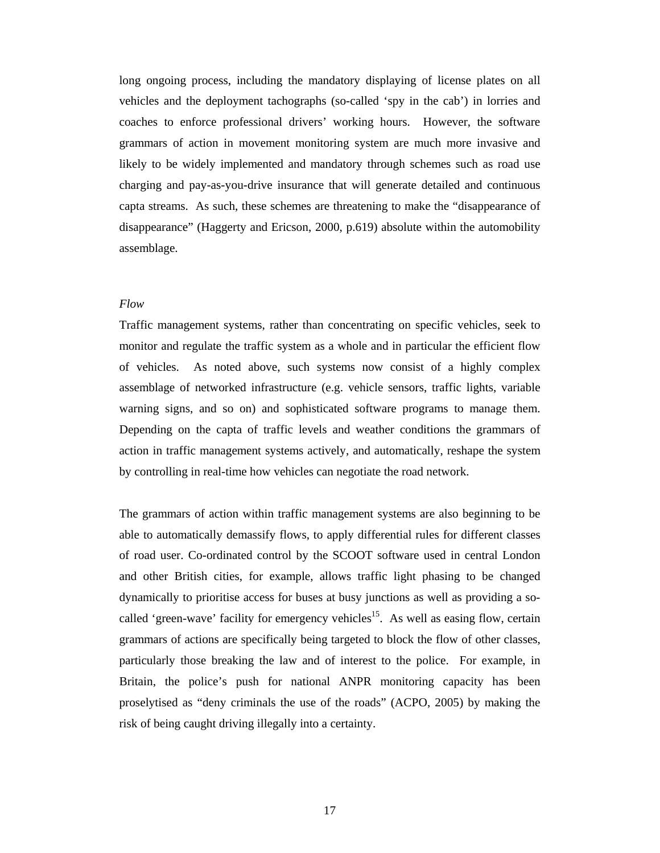long ongoing process, including the mandatory displaying of license plates on all vehicles and the deployment tachographs (so-called 'spy in the cab') in lorries and coaches to enforce professional drivers' working hours. However, the software grammars of action in movement monitoring system are much more invasive and likely to be widely implemented and mandatory through schemes such as road use charging and pay-as-you-drive insurance that will generate detailed and continuous capta streams. As such, these schemes are threatening to make the "disappearance of disappearance" (Haggerty and Ericson, 2000, p.619) absolute within the automobility assemblage.

#### *Flow*

Traffic management systems, rather than concentrating on specific vehicles, seek to monitor and regulate the traffic system as a whole and in particular the efficient flow of vehicles. As noted above, such systems now consist of a highly complex assemblage of networked infrastructure (e.g. vehicle sensors, traffic lights, variable warning signs, and so on) and sophisticated software programs to manage them. Depending on the capta of traffic levels and weather conditions the grammars of action in traffic management systems actively, and automatically, reshape the system by controlling in real-time how vehicles can negotiate the road network.

The grammars of action within traffic management systems are also beginning to be able to automatically demassify flows, to apply differential rules for different classes of road user. Co-ordinated control by the SCOOT software used in central London and other British cities, for example, allows traffic light phasing to be changed dynamically to prioritise access for buses at busy junctions as well as providing a socalled 'green-wave' facility for emergency vehicles<sup>15</sup>. As well as easing flow, certain grammars of actions are specifically being targeted to block the flow of other classes, particularly those breaking the law and of interest to the police. For example, in Britain, the police's push for national ANPR monitoring capacity has been proselytised as "deny criminals the use of the roads" (ACPO, 2005) by making the risk of being caught driving illegally into a certainty.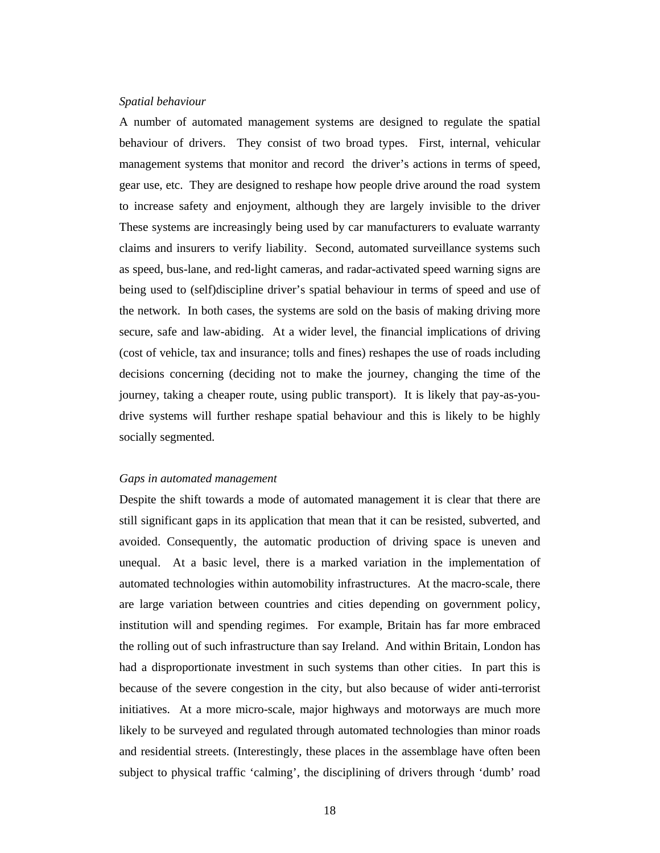#### *Spatial behaviour*

A number of automated management systems are designed to regulate the spatial behaviour of drivers. They consist of two broad types. First, internal, vehicular management systems that monitor and record the driver's actions in terms of speed, gear use, etc. They are designed to reshape how people drive around the road system to increase safety and enjoyment, although they are largely invisible to the driver These systems are increasingly being used by car manufacturers to evaluate warranty claims and insurers to verify liability. Second, automated surveillance systems such as speed, bus-lane, and red-light cameras, and radar-activated speed warning signs are being used to (self)discipline driver's spatial behaviour in terms of speed and use of the network. In both cases, the systems are sold on the basis of making driving more secure, safe and law-abiding. At a wider level, the financial implications of driving (cost of vehicle, tax and insurance; tolls and fines) reshapes the use of roads including decisions concerning (deciding not to make the journey, changing the time of the journey, taking a cheaper route, using public transport). It is likely that pay-as-youdrive systems will further reshape spatial behaviour and this is likely to be highly socially segmented.

#### *Gaps in automated management*

Despite the shift towards a mode of automated management it is clear that there are still significant gaps in its application that mean that it can be resisted, subverted, and avoided. Consequently, the automatic production of driving space is uneven and unequal. At a basic level, there is a marked variation in the implementation of automated technologies within automobility infrastructures. At the macro-scale, there are large variation between countries and cities depending on government policy, institution will and spending regimes. For example, Britain has far more embraced the rolling out of such infrastructure than say Ireland. And within Britain, London has had a disproportionate investment in such systems than other cities. In part this is because of the severe congestion in the city, but also because of wider anti-terrorist initiatives. At a more micro-scale, major highways and motorways are much more likely to be surveyed and regulated through automated technologies than minor roads and residential streets. (Interestingly, these places in the assemblage have often been subject to physical traffic 'calming', the disciplining of drivers through 'dumb' road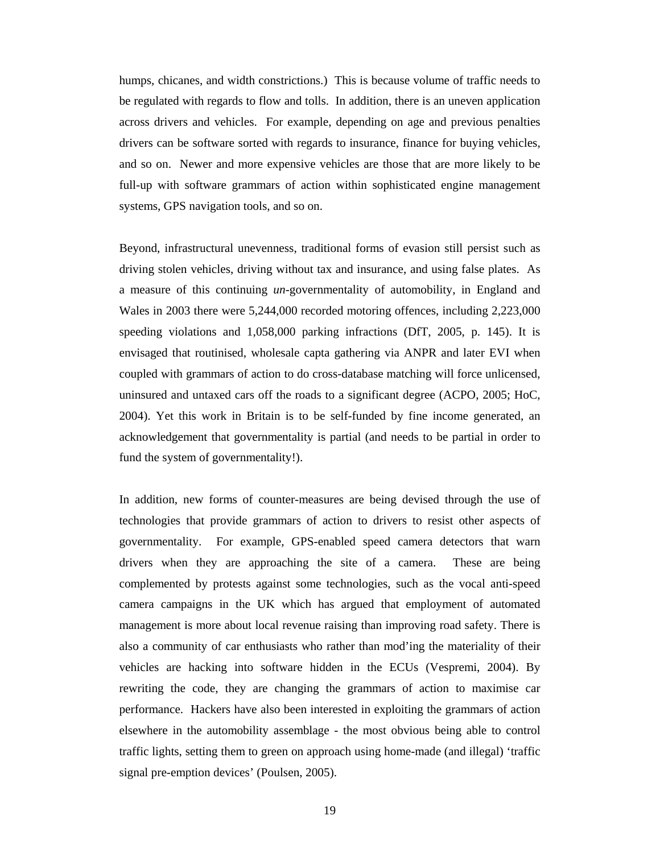humps, chicanes, and width constrictions.) This is because volume of traffic needs to be regulated with regards to flow and tolls. In addition, there is an uneven application across drivers and vehicles. For example, depending on age and previous penalties drivers can be software sorted with regards to insurance, finance for buying vehicles, and so on. Newer and more expensive vehicles are those that are more likely to be full-up with software grammars of action within sophisticated engine management systems, GPS navigation tools, and so on.

Beyond, infrastructural unevenness, traditional forms of evasion still persist such as driving stolen vehicles, driving without tax and insurance, and using false plates. As a measure of this continuing *un-*governmentality of automobility, in England and Wales in 2003 there were 5,244,000 recorded motoring offences, including 2,223,000 speeding violations and 1,058,000 parking infractions (DfT, 2005, p. 145). It is envisaged that routinised, wholesale capta gathering via ANPR and later EVI when coupled with grammars of action to do cross-database matching will force unlicensed, uninsured and untaxed cars off the roads to a significant degree (ACPO, 2005; HoC, 2004). Yet this work in Britain is to be self-funded by fine income generated, an acknowledgement that governmentality is partial (and needs to be partial in order to fund the system of governmentality!).

In addition, new forms of counter-measures are being devised through the use of technologies that provide grammars of action to drivers to resist other aspects of governmentality. For example, GPS-enabled speed camera detectors that warn drivers when they are approaching the site of a camera. These are being complemented by protests against some technologies, such as the vocal anti-speed camera campaigns in the UK which has argued that employment of automated management is more about local revenue raising than improving road safety. There is also a community of car enthusiasts who rather than mod'ing the materiality of their vehicles are hacking into software hidden in the ECUs (Vespremi, 2004). By rewriting the code, they are changing the grammars of action to maximise car performance. Hackers have also been interested in exploiting the grammars of action elsewhere in the automobility assemblage - the most obvious being able to control traffic lights, setting them to green on approach using home-made (and illegal) 'traffic signal pre-emption devices' (Poulsen, 2005).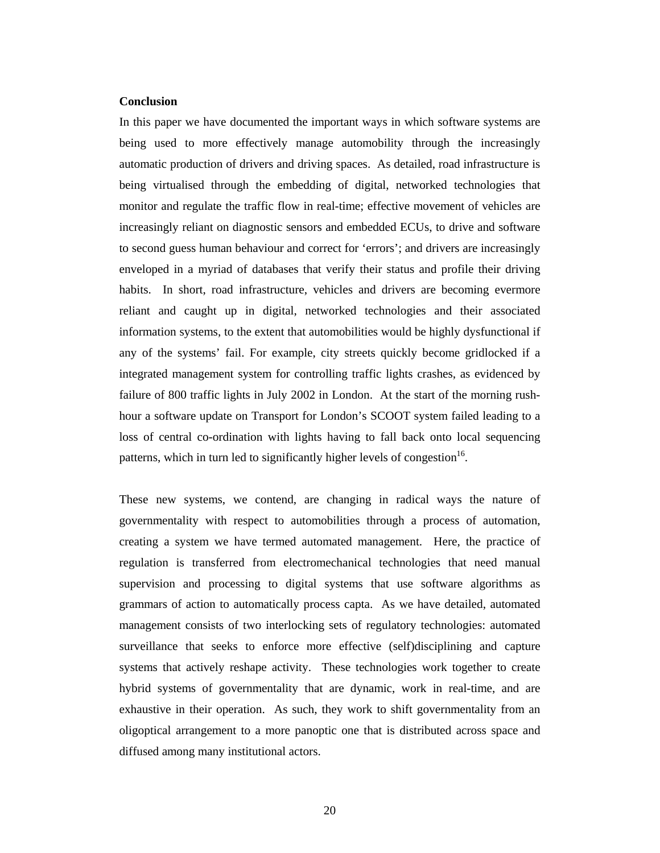## **Conclusion**

In this paper we have documented the important ways in which software systems are being used to more effectively manage automobility through the increasingly automatic production of drivers and driving spaces. As detailed, road infrastructure is being virtualised through the embedding of digital, networked technologies that monitor and regulate the traffic flow in real-time; effective movement of vehicles are increasingly reliant on diagnostic sensors and embedded ECUs, to drive and software to second guess human behaviour and correct for 'errors'; and drivers are increasingly enveloped in a myriad of databases that verify their status and profile their driving habits. In short, road infrastructure, vehicles and drivers are becoming evermore reliant and caught up in digital, networked technologies and their associated information systems, to the extent that automobilities would be highly dysfunctional if any of the systems' fail. For example, city streets quickly become gridlocked if a integrated management system for controlling traffic lights crashes, as evidenced by failure of 800 traffic lights in July 2002 in London. At the start of the morning rushhour a software update on Transport for London's SCOOT system failed leading to a loss of central co-ordination with lights having to fall back onto local sequencing patterns, which in turn led to significantly higher levels of congestion<sup>16</sup>.

These new systems, we contend, are changing in radical ways the nature of governmentality with respect to automobilities through a process of automation, creating a system we have termed automated management. Here, the practice of regulation is transferred from electromechanical technologies that need manual supervision and processing to digital systems that use software algorithms as grammars of action to automatically process capta. As we have detailed, automated management consists of two interlocking sets of regulatory technologies: automated surveillance that seeks to enforce more effective (self)disciplining and capture systems that actively reshape activity. These technologies work together to create hybrid systems of governmentality that are dynamic, work in real-time, and are exhaustive in their operation. As such, they work to shift governmentality from an oligoptical arrangement to a more panoptic one that is distributed across space and diffused among many institutional actors.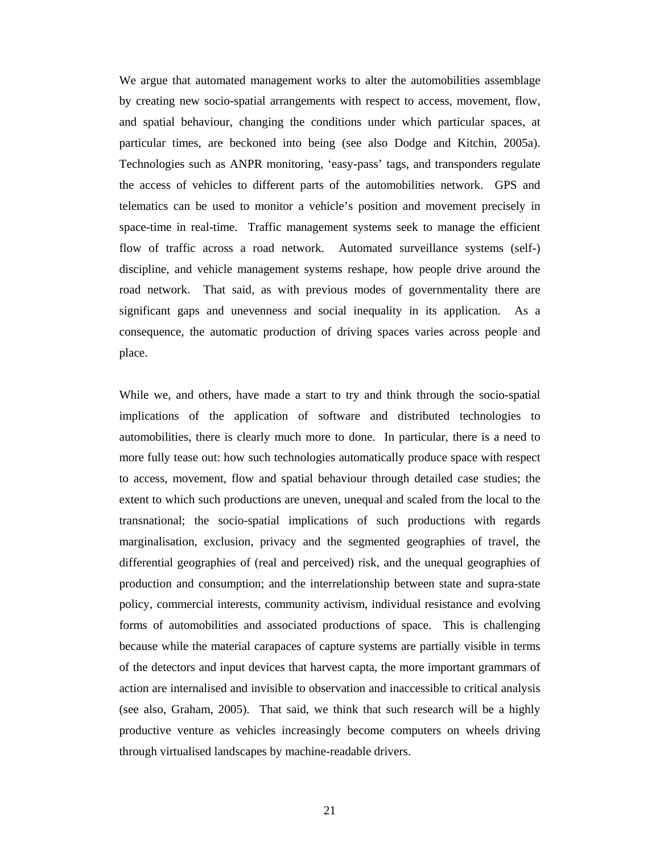We argue that automated management works to alter the automobilities assemblage by creating new socio-spatial arrangements with respect to access, movement, flow, and spatial behaviour, changing the conditions under which particular spaces, at particular times, are beckoned into being (see also Dodge and Kitchin, 2005a). Technologies such as ANPR monitoring, 'easy-pass' tags, and transponders regulate the access of vehicles to different parts of the automobilities network. GPS and telematics can be used to monitor a vehicle's position and movement precisely in space-time in real-time. Traffic management systems seek to manage the efficient flow of traffic across a road network. Automated surveillance systems (self-) discipline, and vehicle management systems reshape, how people drive around the road network. That said, as with previous modes of governmentality there are significant gaps and unevenness and social inequality in its application. As a consequence, the automatic production of driving spaces varies across people and place.

While we, and others, have made a start to try and think through the socio-spatial implications of the application of software and distributed technologies to automobilities, there is clearly much more to done. In particular, there is a need to more fully tease out: how such technologies automatically produce space with respect to access, movement, flow and spatial behaviour through detailed case studies; the extent to which such productions are uneven, unequal and scaled from the local to the transnational; the socio-spatial implications of such productions with regards marginalisation, exclusion, privacy and the segmented geographies of travel, the differential geographies of (real and perceived) risk, and the unequal geographies of production and consumption; and the interrelationship between state and supra-state policy, commercial interests, community activism, individual resistance and evolving forms of automobilities and associated productions of space. This is challenging because while the material carapaces of capture systems are partially visible in terms of the detectors and input devices that harvest capta, the more important grammars of action are internalised and invisible to observation and inaccessible to critical analysis (see also, Graham, 2005). That said, we think that such research will be a highly productive venture as vehicles increasingly become computers on wheels driving through virtualised landscapes by machine-readable drivers.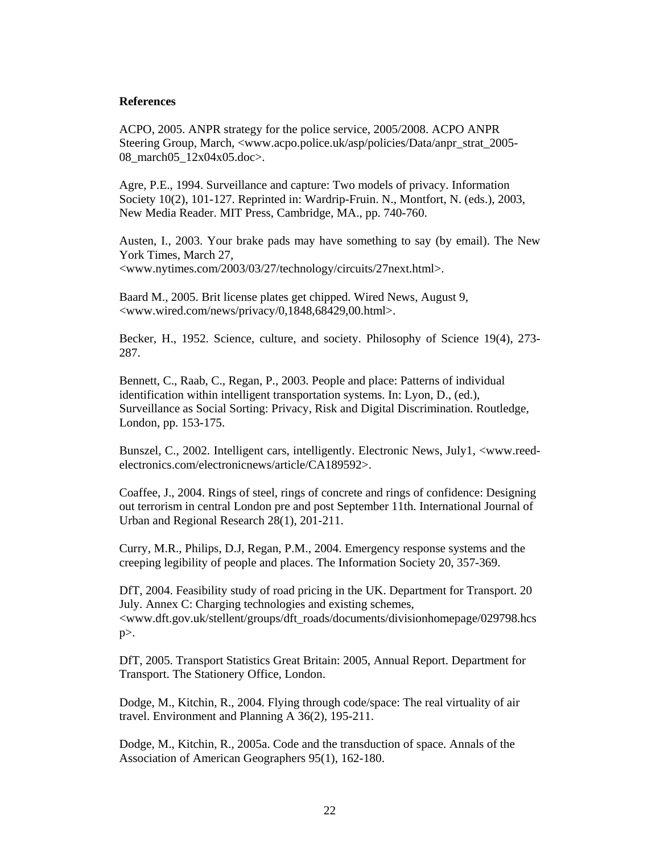## **References**

ACPO, 2005. ANPR strategy for the police service, 2005/2008. ACPO ANPR Steering Group, March, <www.acpo.police.uk/asp/policies/Data/anpr\_strat\_2005- 08\_march05\_12x04x05.doc>.

Agre, P.E., 1994. Surveillance and capture: Two models of privacy. Information Society 10(2), 101-127. Reprinted in: Wardrip-Fruin. N., Montfort, N. (eds.), 2003, New Media Reader. MIT Press, Cambridge, MA., pp. 740-760.

Austen, I., 2003. Your brake pads may have something to say (by email). The New York Times, March 27, <www.nytimes.com/2003/03/27/technology/circuits/27next.html>.

Baard M., 2005. Brit license plates get chipped. Wired News, August 9, <www.wired.com/news/privacy/0,1848,68429,00.html>.

Becker, H., 1952. Science, culture, and society. Philosophy of Science 19(4), 273- 287.

Bennett, C., Raab, C., Regan, P., 2003. People and place: Patterns of individual identification within intelligent transportation systems. In: Lyon, D., (ed.), Surveillance as Social Sorting: Privacy, Risk and Digital Discrimination. Routledge, London, pp. 153-175.

Bunszel, C., 2002. Intelligent cars, intelligently. Electronic News, July1, <www.reedelectronics.com/electronicnews/article/CA189592>.

Coaffee, J., 2004. Rings of steel, rings of concrete and rings of confidence: Designing out terrorism in central London pre and post September 11th. International Journal of Urban and Regional Research 28(1), 201-211.

Curry, M.R., Philips, D.J, Regan, P.M., 2004. Emergency response systems and the creeping legibility of people and places. The Information Society 20, 357-369.

DfT, 2004. Feasibility study of road pricing in the UK. Department for Transport. 20 July. Annex C: Charging technologies and existing schemes, <www.dft.gov.uk/stellent/groups/dft\_roads/documents/divisionhomepage/029798.hcs p>.

DfT, 2005. Transport Statistics Great Britain: 2005, Annual Report. Department for Transport. The Stationery Office, London.

Dodge, M., Kitchin, R., 2004. Flying through code/space: The real virtuality of air travel. Environment and Planning A 36(2), 195-211.

Dodge, M., Kitchin, R., 2005a. Code and the transduction of space. Annals of the Association of American Geographers 95(1), 162-180.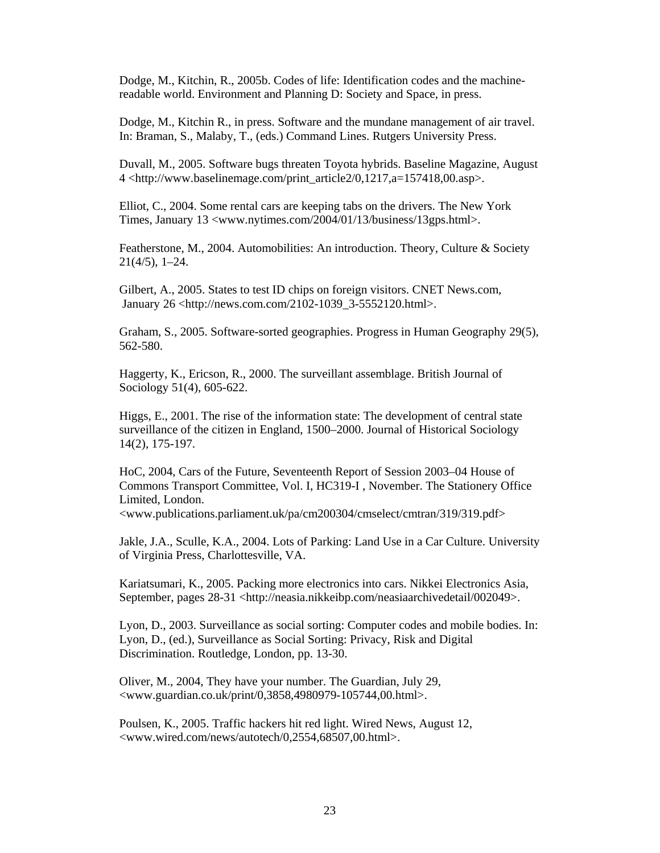Dodge, M., Kitchin, R., 2005b. Codes of life: Identification codes and the machinereadable world. Environment and Planning D: Society and Space, in press.

Dodge, M., Kitchin R., in press. Software and the mundane management of air travel. In: Braman, S., Malaby, T., (eds.) Command Lines. Rutgers University Press.

Duvall, M., 2005. Software bugs threaten Toyota hybrids. Baseline Magazine, August 4 <http://www.baselinemage.com/print\_article2/0,1217,a=157418,00.asp>.

Elliot, C., 2004. Some rental cars are keeping tabs on the drivers. The New York Times, January 13 <www.nytimes.com/2004/01/13/business/13gps.html>.

Featherstone, M., 2004. Automobilities: An introduction. Theory, Culture & Society 21(4/5), 1–24.

Gilbert, A., 2005. States to test ID chips on foreign visitors. CNET News.com, January 26 <http://news.com.com/2102-1039\_3-5552120.html>.

Graham, S., 2005. Software-sorted geographies. Progress in Human Geography 29(5), 562-580.

Haggerty, K., Ericson, R., 2000. The surveillant assemblage. British Journal of Sociology 51(4), 605-622.

Higgs, E., 2001. The rise of the information state: The development of central state surveillance of the citizen in England, 1500–2000. Journal of Historical Sociology 14(2), 175-197.

HoC, 2004, Cars of the Future, Seventeenth Report of Session 2003–04 House of Commons Transport Committee, Vol. I, HC319-I , November. The Stationery Office Limited, London.

<www.publications.parliament.uk/pa/cm200304/cmselect/cmtran/319/319.pdf>

Jakle, J.A., Sculle, K.A., 2004. Lots of Parking: Land Use in a Car Culture. University of Virginia Press, Charlottesville, VA.

Kariatsumari, K., 2005. Packing more electronics into cars. Nikkei Electronics Asia, September, pages 28-31 <http://neasia.nikkeibp.com/neasiaarchivedetail/002049>.

Lyon, D., 2003. Surveillance as social sorting: Computer codes and mobile bodies. In: Lyon, D., (ed.), Surveillance as Social Sorting: Privacy, Risk and Digital Discrimination. Routledge, London, pp. 13-30.

Oliver, M., 2004, They have your number. The Guardian, July 29, <www.guardian.co.uk/print/0,3858,4980979-105744,00.html>.

Poulsen, K., 2005. Traffic hackers hit red light. Wired News, August 12, <www.wired.com/news/autotech/0,2554,68507,00.html>.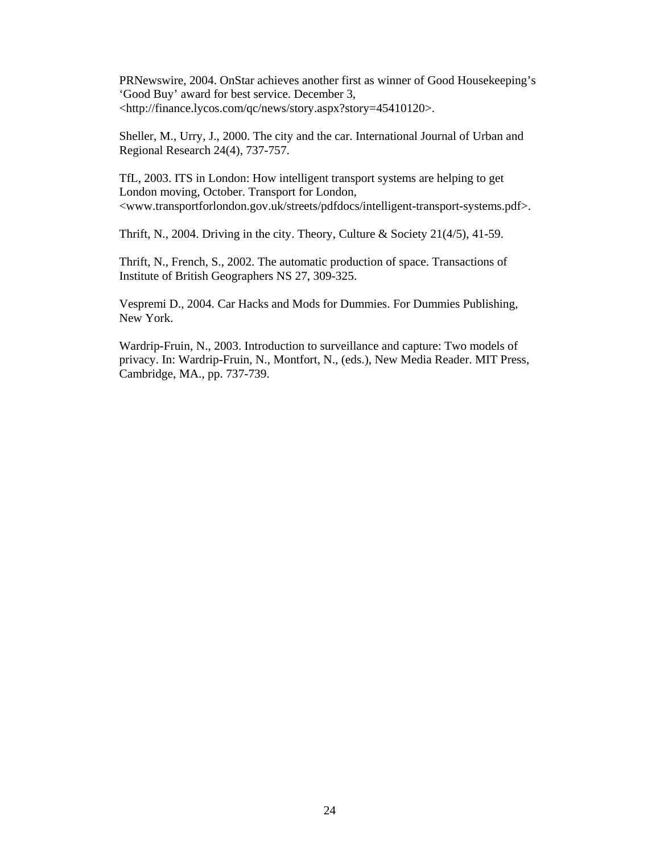PRNewswire, 2004. OnStar achieves another first as winner of Good Housekeeping's 'Good Buy' award for best service. December 3, <http://finance.lycos.com/qc/news/story.aspx?story=45410120>.

Sheller, M., Urry, J., 2000. The city and the car. International Journal of Urban and Regional Research 24(4), 737-757.

TfL, 2003. ITS in London: How intelligent transport systems are helping to get London moving, October. Transport for London, <www.transportforlondon.gov.uk/streets/pdfdocs/intelligent-transport-systems.pdf>.

Thrift, N., 2004. Driving in the city. Theory, Culture & Society 21(4/5), 41-59.

Thrift, N., French, S., 2002. The automatic production of space. Transactions of Institute of British Geographers NS 27, 309-325.

Vespremi D., 2004. Car Hacks and Mods for Dummies. For Dummies Publishing, New York.

Wardrip-Fruin, N., 2003. Introduction to surveillance and capture: Two models of privacy. In: Wardrip-Fruin, N., Montfort, N., (eds.), New Media Reader. MIT Press, Cambridge, MA., pp. 737-739.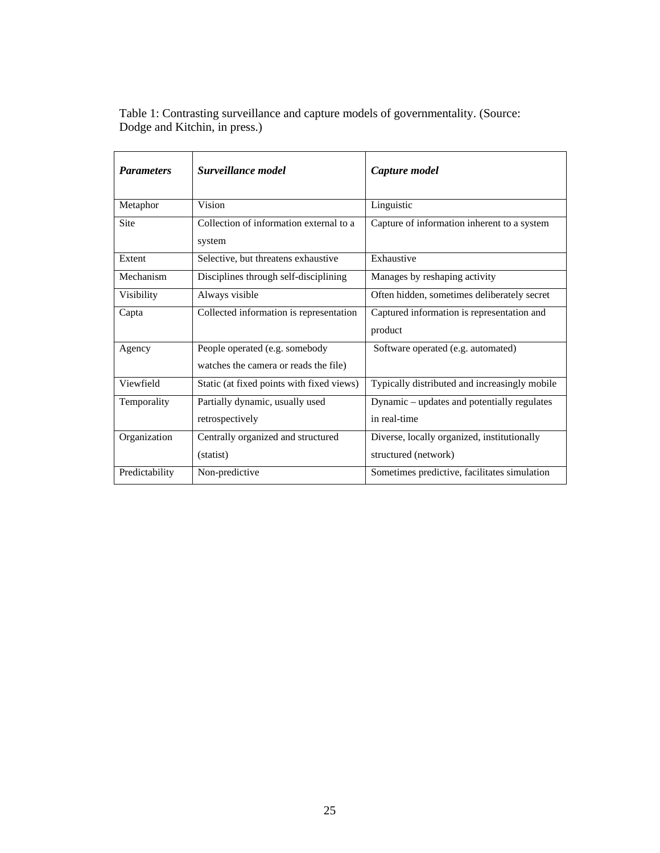| <b>Parameters</b> | Surveillance model                                                      | Capture model                                                       |
|-------------------|-------------------------------------------------------------------------|---------------------------------------------------------------------|
| Metaphor          | Vision                                                                  | Linguistic                                                          |
| <b>Site</b>       | Collection of information external to a<br>system                       | Capture of information inherent to a system                         |
| Extent            | Selective, but threatens exhaustive                                     | Exhaustive                                                          |
| Mechanism         | Disciplines through self-disciplining                                   | Manages by reshaping activity                                       |
| Visibility        | Always visible                                                          | Often hidden, sometimes deliberately secret                         |
| Capta             | Collected information is representation                                 | Captured information is representation and<br>product               |
| Agency            | People operated (e.g. somebody<br>watches the camera or reads the file) | Software operated (e.g. automated)                                  |
| Viewfield         | Static (at fixed points with fixed views)                               | Typically distributed and increasingly mobile                       |
| Temporality       | Partially dynamic, usually used<br>retrospectively                      | Dynamic - updates and potentially regulates<br>in real-time         |
| Organization      | Centrally organized and structured<br>(statist)                         | Diverse, locally organized, institutionally<br>structured (network) |
| Predictability    | Non-predictive                                                          | Sometimes predictive, facilitates simulation                        |

Table 1: Contrasting surveillance and capture models of governmentality. (Source: Dodge and Kitchin, in press.)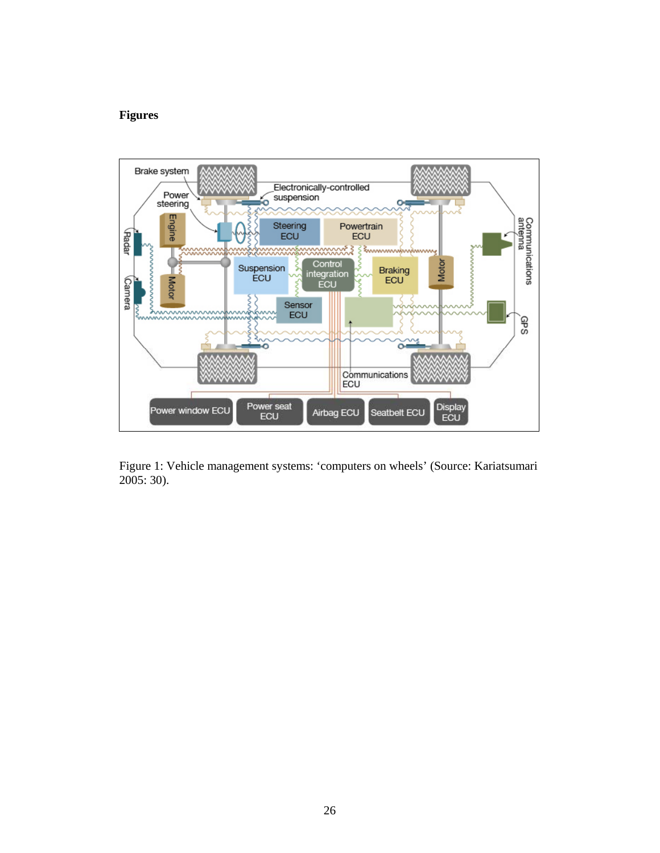## **Figures**



Figure 1: Vehicle management systems: 'computers on wheels' (Source: Kariatsumari 2005: 30).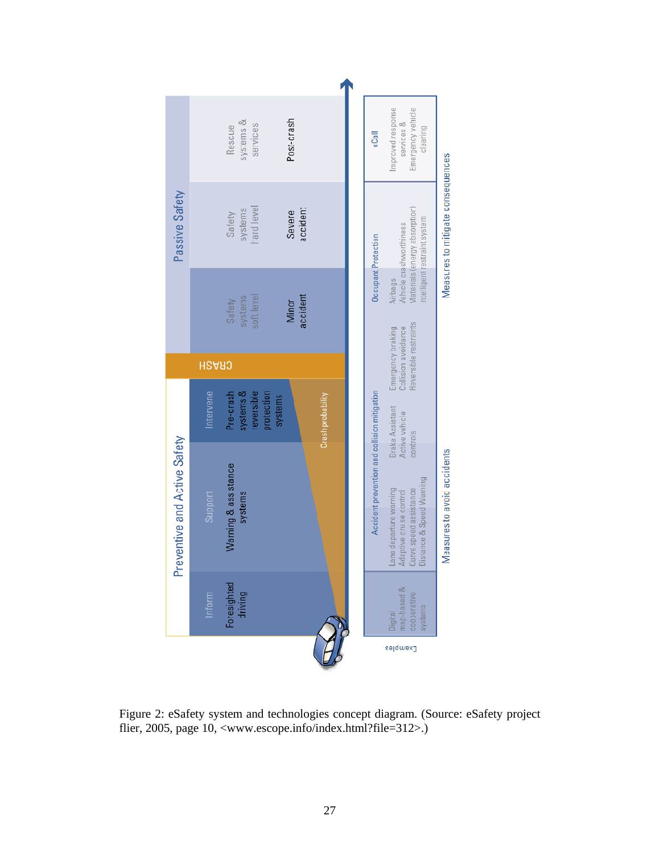

Figure 2: eSafety system and technologies concept diagram. (Source: eSafety project flier, 2005, page 10, <www.escope.info/index.html?file=312>.)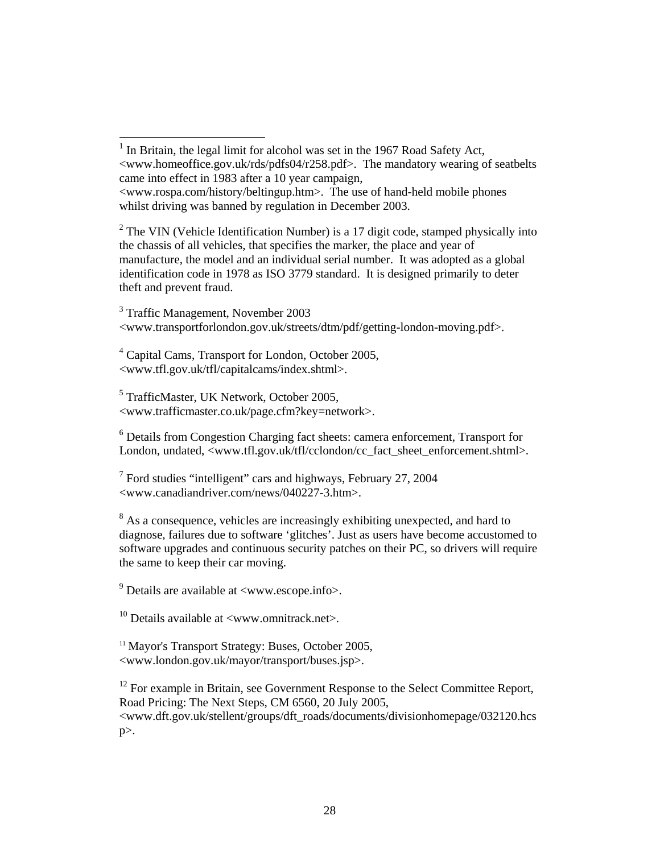$2$  The VIN (Vehicle Identification Number) is a 17 digit code, stamped physically into the chassis of all vehicles, that specifies the marker, the place and year of manufacture, the model and an individual serial number. It was adopted as a global identification code in 1978 as ISO 3779 standard. It is designed primarily to deter theft and prevent fraud.

<sup>3</sup> Traffic Management, November 2003 <www.transportforlondon.gov.uk/streets/dtm/pdf/getting-london-moving.pdf>.

<sup>4</sup> Capital Cams, Transport for London, October 2005, <www.tfl.gov.uk/tfl/capitalcams/index.shtml>.

5 TrafficMaster, UK Network, October 2005, <www.trafficmaster.co.uk/page.cfm?key=network>.

<sup>6</sup> Details from Congestion Charging fact sheets: camera enforcement, Transport for London, undated, <www.tfl.gov.uk/tfl/cclondon/cc\_fact\_sheet\_enforcement.shtml>.

 $7$  Ford studies "intelligent" cars and highways, February 27, 2004 <www.canadiandriver.com/news/040227-3.htm>.

 $8$  As a consequence, vehicles are increasingly exhibiting unexpected, and hard to diagnose, failures due to software 'glitches'. Just as users have become accustomed to software upgrades and continuous security patches on their PC, so drivers will require the same to keep their car moving.

 $9^9$  Details are available at  $\langle$ www.escope.info $\rangle$ .

 $10$  Details available at  $\langle$ www.omnitrack.net $\rangle$ .

<sup>11</sup> Mayor's Transport Strategy: Buses, October 2005, <www.london.gov.uk/mayor/transport/buses.jsp>.

<sup>12</sup> For example in Britain, see Government Response to the Select Committee Report, Road Pricing: The Next Steps, CM 6560, 20 July 2005, <www.dft.gov.uk/stellent/groups/dft\_roads/documents/divisionhomepage/032120.hcs  $p$ .

<sup>&</sup>lt;sup>1</sup> In Britain, the legal limit for alcohol was set in the 1967 Road Safety Act, <www.homeoffice.gov.uk/rds/pdfs04/r258.pdf>. The mandatory wearing of seatbelts came into effect in 1983 after a 10 year campaign, <www.rospa.com/history/beltingup.htm>. The use of hand-held mobile phones whilst driving was banned by regulation in December 2003.